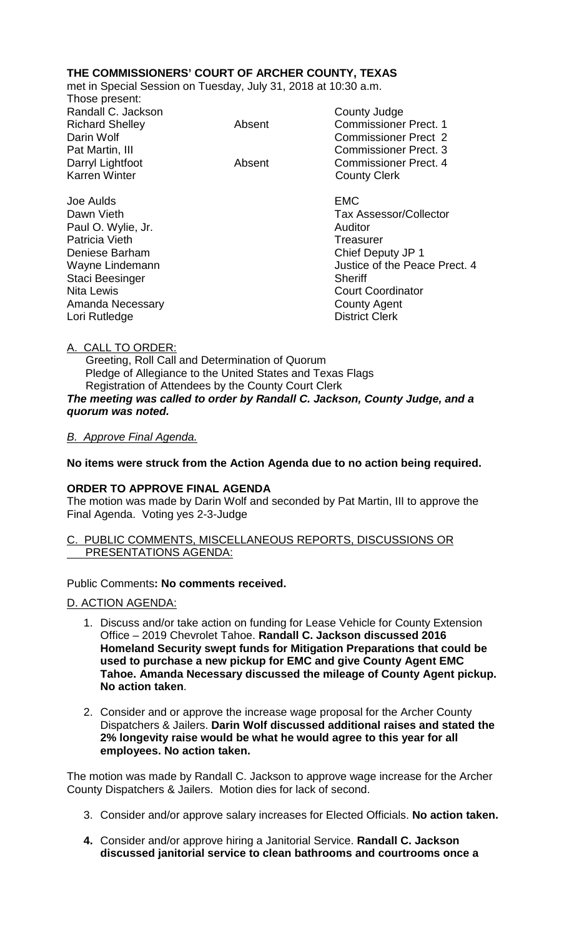# **THE COMMISSIONERS' COURT OF ARCHER COUNTY, TEXAS**

met in Special Session on Tuesday, July 31, 2018 at 10:30 a.m. Those present:

|        | County Judge                  |
|--------|-------------------------------|
| Absent | <b>Commissioner Prect. 1</b>  |
|        | <b>Commissioner Prect 2</b>   |
|        | <b>Commissioner Prect. 3</b>  |
| Absent | <b>Commissioner Prect. 4</b>  |
|        | <b>County Clerk</b>           |
|        | <b>EMC</b>                    |
|        | <b>Tax Assessor/Collector</b> |
|        | Auditor                       |
|        | Treasurer                     |
|        | Chief Deputy JP 1             |
|        | Justice of the Peace Prect. 4 |
|        | <b>Sheriff</b>                |
|        | <b>Court Coordinator</b>      |
|        | <b>County Agent</b>           |
|        | <b>District Clerk</b>         |
|        |                               |

## A. CALL TO ORDER:

 Greeting, Roll Call and Determination of Quorum Pledge of Allegiance to the United States and Texas Flags Registration of Attendees by the County Court Clerk *The meeting was called to order by Randall C. Jackson, County Judge, and a quorum was noted.*

## *B. Approve Final Agenda.*

**No items were struck from the Action Agenda due to no action being required.**

## **ORDER TO APPROVE FINAL AGENDA**

The motion was made by Darin Wolf and seconded by Pat Martin, III to approve the Final Agenda. Voting yes 2-3-Judge

### PUBLIC COMMENTS, MISCELLANEOUS REPORTS, DISCUSSIONS OR PRESENTATIONS AGENDA:

### Public Comments**: No comments received.**

D. ACTION AGENDA:

- 1. Discuss and/or take action on funding for Lease Vehicle for County Extension Office – 2019 Chevrolet Tahoe. **Randall C. Jackson discussed 2016 Homeland Security swept funds for Mitigation Preparations that could be used to purchase a new pickup for EMC and give County Agent EMC Tahoe. Amanda Necessary discussed the mileage of County Agent pickup. No action taken**.
- 2. Consider and or approve the increase wage proposal for the Archer County Dispatchers & Jailers. **Darin Wolf discussed additional raises and stated the 2% longevity raise would be what he would agree to this year for all employees. No action taken.**

The motion was made by Randall C. Jackson to approve wage increase for the Archer County Dispatchers & Jailers. Motion dies for lack of second.

- 3. Consider and/or approve salary increases for Elected Officials. **No action taken.**
- **4.** Consider and/or approve hiring a Janitorial Service. **Randall C. Jackson discussed janitorial service to clean bathrooms and courtrooms once a**